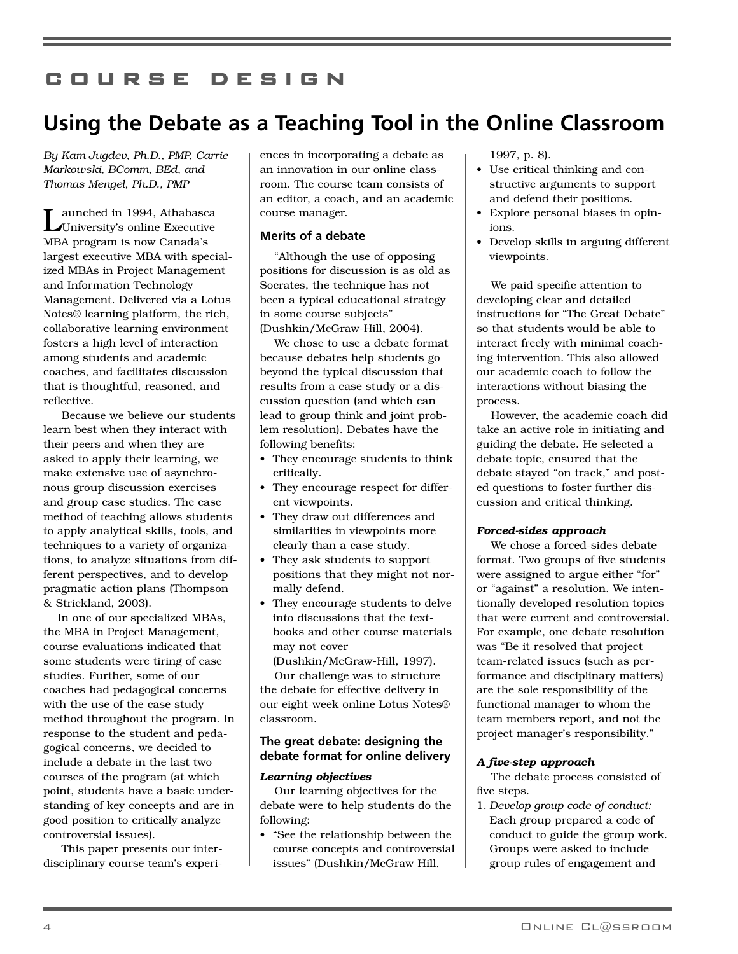# **COURSE DESIGN**

# **Using the Debate as a Teaching Tool in the Online Classroom**

*By Kam Jugdev, Ph.D., PMP, Carrie Markowski, BComm, BEd, and Thomas Mengel, Ph.D., PMP*

aunched in 1994, Athabasca University's online Executive MBA program is now Canada's largest executive MBA with specialized MBAs in Project Management and Information Technology Management. Delivered via a Lotus Notes® learning platform, the rich, collaborative learning environment fosters a high level of interaction among students and academic coaches, and facilitates discussion that is thoughtful, reasoned, and reflective.

Because we believe our students learn best when they interact with their peers and when they are asked to apply their learning, we make extensive use of asynchronous group discussion exercises and group case studies. The case method of teaching allows students to apply analytical skills, tools, and techniques to a variety of organizations, to analyze situations from different perspectives, and to develop pragmatic action plans (Thompson & Strickland, 2003).

In one of our specialized MBAs, the MBA in Project Management, course evaluations indicated that some students were tiring of case studies. Further, some of our coaches had pedagogical concerns with the use of the case study method throughout the program. In response to the student and pedagogical concerns, we decided to include a debate in the last two courses of the program (at which point, students have a basic understanding of key concepts and are in good position to critically analyze controversial issues).

This paper presents our interdisciplinary course team's experiences in incorporating a debate as an innovation in our online classroom. The course team consists of an editor, a coach, and an academic course manager.

# **Merits of a debate**

"Although the use of opposing positions for discussion is as old as Socrates, the technique has not been a typical educational strategy in some course subjects" (Dushkin/McGraw-Hill, 2004).

We chose to use a debate format because debates help students go beyond the typical discussion that results from a case study or a discussion question (and which can lead to group think and joint problem resolution). Debates have the following benefits:

- They encourage students to think critically.
- They encourage respect for different viewpoints.
- They draw out differences and similarities in viewpoints more clearly than a case study.
- They ask students to support positions that they might not normally defend.
- They encourage students to delve into discussions that the textbooks and other course materials may not cover

(Dushkin/McGraw-Hill, 1997).

Our challenge was to structure the debate for effective delivery in our eight-week online Lotus Notes® classroom.

# **The great debate: designing the debate format for online delivery**

# *Learning objectives*

Our learning objectives for the debate were to help students do the following:

• "See the relationship between the course concepts and controversial issues" (Dushkin/McGraw Hill,

1997, p. 8).

- Use critical thinking and constructive arguments to support and defend their positions.
- Explore personal biases in opinions.
- Develop skills in arguing different viewpoints.

We paid specific attention to developing clear and detailed instructions for "The Great Debate" so that students would be able to interact freely with minimal coaching intervention. This also allowed our academic coach to follow the interactions without biasing the process.

However, the academic coach did take an active role in initiating and guiding the debate. He selected a debate topic, ensured that the debate stayed "on track," and posted questions to foster further discussion and critical thinking.

# *Forced-sides approach*

We chose a forced-sides debate format. Two groups of five students were assigned to argue either "for" or "against" a resolution. We intentionally developed resolution topics that were current and controversial. For example, one debate resolution was "Be it resolved that project team-related issues (such as performance and disciplinary matters) are the sole responsibility of the functional manager to whom the team members report, and not the project manager's responsibility."

# *A five-step approach*

The debate process consisted of five steps.

1. *Develop group code of conduct:* Each group prepared a code of conduct to guide the group work. Groups were asked to include group rules of engagement and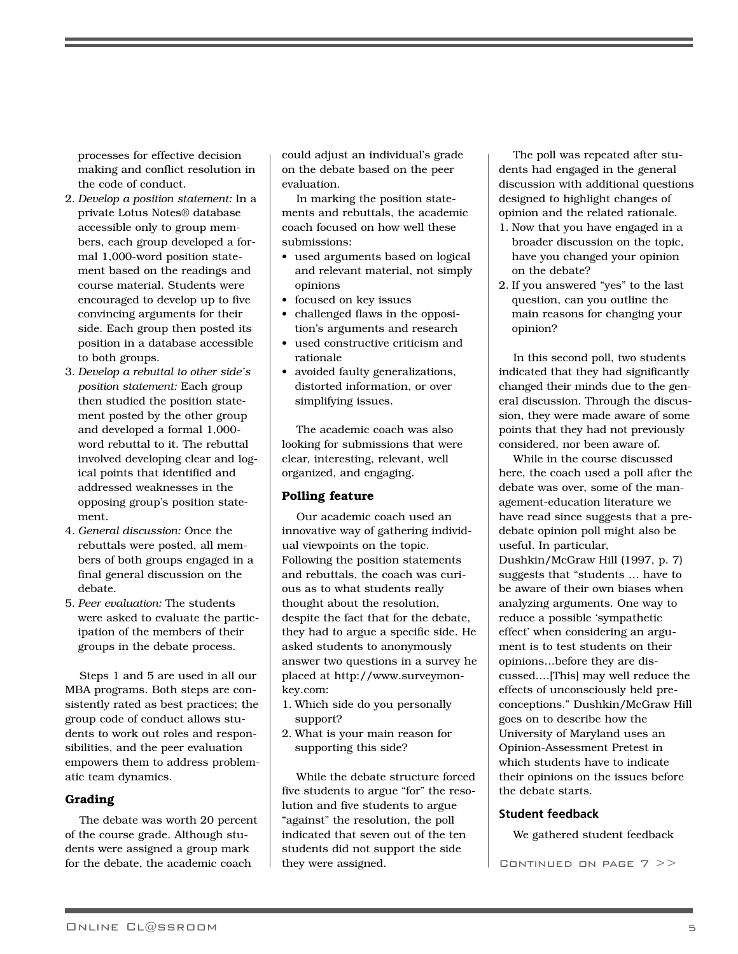processes for effective decision making and conflict resolution in the code of conduct.

- 2. *Develop a position statement:* In a private Lotus Notes® database accessible only to group members, each group developed a formal 1,000-word position statement based on the readings and course material. Students were encouraged to develop up to five convincing arguments for their side. Each group then posted its position in a database accessible to both groups.
- 3. *Develop a rebuttal to other side's position statement:* Each group then studied the position statement posted by the other group and developed a formal 1,000 word rebuttal to it. The rebuttal involved developing clear and logical points that identified and addressed weaknesses in the opposing group's position statement.
- 4. *General discussion:* Once the rebuttals were posted, all members of both groups engaged in a final general discussion on the debate.
- 5. *Peer evaluation:* The students were asked to evaluate the participation of the members of their groups in the debate process.

Steps 1 and 5 are used in all our MBA programs. Both steps are consistently rated as best practices; the group code of conduct allows students to work out roles and responsibilities, and the peer evaluation empowers them to address problematic team dynamics.

# **Grading**

The debate was worth 20 percent of the course grade. Although students were assigned a group mark for the debate, the academic coach

could adjust an individual's grade on the debate based on the peer evaluation.

In marking the position statements and rebuttals, the academic coach focused on how well these submissions:

- used arguments based on logical and relevant material, not simply opinions
- focused on key issues
- challenged flaws in the opposition's arguments and research
- used constructive criticism and rationale
- avoided faulty generalizations, distorted information, or over simplifying issues.

The academic coach was also looking for submissions that were clear, interesting, relevant, well organized, and engaging.

# **Polling feature**

Our academic coach used an innovative way of gathering individual viewpoints on the topic. Following the position statements and rebuttals, the coach was curious as to what students really thought about the resolution, despite the fact that for the debate, they had to argue a specific side. He asked students to anonymously answer two questions in a survey he placed at http://www.surveymonkey.com:

- 1. Which side do you personally support?
- 2. What is your main reason for supporting this side?

While the debate structure forced five students to argue "for" the resolution and five students to argue "against" the resolution, the poll indicated that seven out of the ten students did not support the side they were assigned.

The poll was repeated after students had engaged in the general discussion with additional questions designed to highlight changes of opinion and the related rationale.

- 1. Now that you have engaged in a broader discussion on the topic, have you changed your opinion on the debate?
- 2. If you answered "yes" to the last question, can you outline the main reasons for changing your opinion?

In this second poll, two students indicated that they had significantly changed their minds due to the general discussion. Through the discussion, they were made aware of some points that they had not previously considered, nor been aware of.

While in the course discussed here, the coach used a poll after the debate was over, some of the management-education literature we have read since suggests that a predebate opinion poll might also be useful. In particular, Dushkin/McGraw Hill (1997, p. 7) suggests that "students … have to be aware of their own biases when analyzing arguments. One way to reduce a possible 'sympathetic effect' when considering an argument is to test students on their opinions…before they are discussed.…[This] may well reduce the effects of unconsciously held preconceptions." Dushkin/McGraw Hill goes on to describe how the University of Maryland uses an Opinion-Assessment Pretest in which students have to indicate their opinions on the issues before the debate starts.

#### **Student feedback**

We gathered student feedback